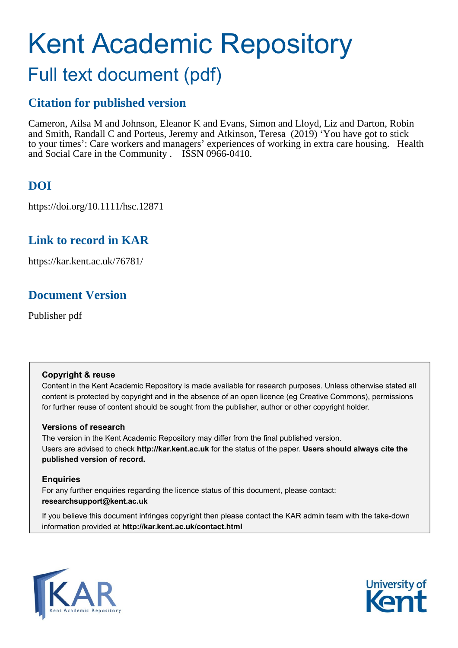# Kent Academic Repository

# Full text document (pdf)

# **Citation for published version**

Cameron, Ailsa M and Johnson, Eleanor K and Evans, Simon and Lloyd, Liz and Darton, Robin and Smith, Randall C and Porteus, Jeremy and Atkinson, Teresa (2019) 'You have got to stick to your times': Care workers and managers' experiences of working in extra care housing. Health and Social Care in the Community . ISSN 0966-0410.

# **DOI**

https://doi.org/10.1111/hsc.12871

# **Link to record in KAR**

https://kar.kent.ac.uk/76781/

# **Document Version**

Publisher pdf

#### **Copyright & reuse**

Content in the Kent Academic Repository is made available for research purposes. Unless otherwise stated all content is protected by copyright and in the absence of an open licence (eg Creative Commons), permissions for further reuse of content should be sought from the publisher, author or other copyright holder.

#### **Versions of research**

The version in the Kent Academic Repository may differ from the final published version. Users are advised to check **http://kar.kent.ac.uk** for the status of the paper. **Users should always cite the published version of record.**

#### **Enquiries**

For any further enquiries regarding the licence status of this document, please contact: **researchsupport@kent.ac.uk**

If you believe this document infringes copyright then please contact the KAR admin team with the take-down information provided at **http://kar.kent.ac.uk/contact.html**



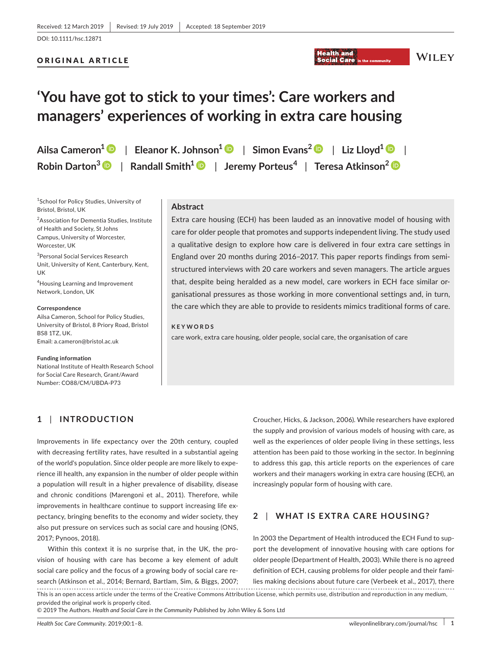#### ORIGINAL ARTICLE

#### **Health and Social Care**

#### WILEY

# **'You have got to stick to your times': Care workers and managers' experiences of working in extra care housing**

|  | Ailsa Cameron $^1\,$ $\bullet$ $\,$ $\,$ Eleanor K. Johnson $^1\, \bullet$ $\,$ $\,$ Simon Evans $^2\, \bullet$ $\,$ $\,$ Liz Lloyd $^1\, \bullet$ $\,$ $\,$ $\,$ |
|--|-------------------------------------------------------------------------------------------------------------------------------------------------------------------|
|  | Robin Darton $^3\,$ $\bullet$ $\,$ $\,$ Randall Smith $^1$ $\bullet$ $\,$ Jeremy Porteus $^4$ $\,$ Teresa Atkinson $^2$ $\bullet$                                 |

1 School for Policy Studies, University of Bristol, Bristol, UK

<sup>2</sup>Association for Dementia Studies, Institute of Health and Society, St Johns Campus, University of Worcester, Worcester, UK

3 Personal Social Services Research Unit, University of Kent, Canterbury, Kent, UK

4 Housing Learning and Improvement Network, London, UK

#### **Correspondence**

Ailsa Cameron, School for Policy Studies, University of Bristol, 8 Priory Road, Bristol BS8 1TZ, UK. Email: [a.cameron@bristol.ac.uk](mailto:a.cameron@bristol.ac.uk)

#### **Funding information**

National Institute of Health Research School for Social Care Research, Grant/Award Number: CO88/CM/UBDA‐P73

#### **Abstract**

Extra care housing (ECH) has been lauded as an innovative model of housing with care for older people that promotes and supports independent living. The study used a qualitative design to explore how care is delivered in four extra care settings in England over 20 months during 2016–2017. This paper reports findings from semi‐ structured interviews with 20 care workers and seven managers. The article argues that, despite being heralded as a new model, care workers in ECH face similar or‐ ganisational pressures as those working in more conventional settings and, in turn, the care which they are able to provide to residents mimics traditional forms of care.

#### **KEYWORDS**

care work, extra care housing, older people, social care, the organisation of care

#### **1** | **INTRODUCTION**

Improvements in life expectancy over the 20th century, coupled with decreasing fertility rates, have resulted in a substantial ageing of the world's population. Since older people are more likely to expe‐ rience ill health, any expansion in the number of older people within a population will result in a higher prevalence of disability, disease and chronic conditions (Marengoni et al., 2011). Therefore, while improvements in healthcare continue to support increasing life expectancy, bringing benefits to the economy and wider society, they also put pressure on services such as social care and housing (ONS, 2017; Pynoos, 2018).

Within this context it is no surprise that, in the UK, the provision of housing with care has become a key element of adult social care policy and the focus of a growing body of social care re‐ search (Atkinson et al., 2014; Bernard, Bartlam, Sim, & Biggs, 2007;

Croucher, Hicks, & Jackson, 2006). While researchers have explored the supply and provision of various models of housing with care, as well as the experiences of older people living in these settings, less attention has been paid to those working in the sector. In beginning to address this gap, this article reports on the experiences of care workers and their managers working in extra care housing (ECH), an increasingly popular form of housing with care.

#### **2** | **WHAT IS EXTRA CARE HOUSING?**

In 2003 the Department of Health introduced the ECH Fund to support the development of innovative housing with care options for older people (Department of Health, 2003). While there is no agreed definition of ECH, causing problems for older people and their fami‐ lies making decisions about future care (Verbeek et al., 2017), there

This is an open access article under the terms of the [Creative Commons Attribution](http://creativecommons.org/licenses/by/4.0/) License, which permits use, distribution and reproduction in any medium, provided the original work is properly cited.

© 2019 The Authors. *Health and Social Care in the Community* Published by John Wiley & Sons Ltd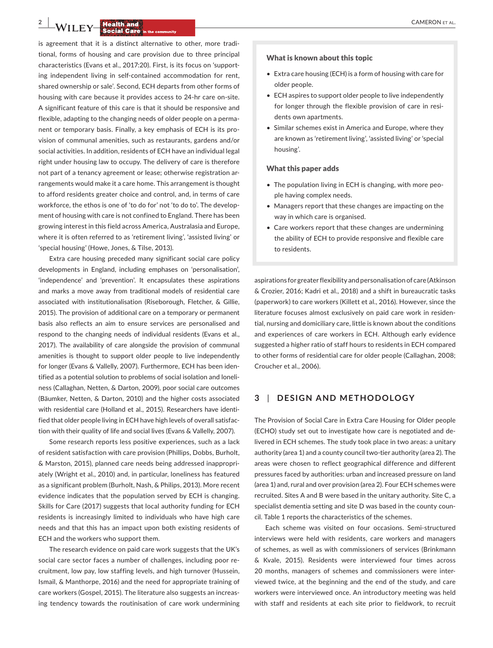**2 CAMERON ET AL.**<br> **2 CAMERON ET AL.**<br> **2 CAMERON ET AL.**<br> **2 CAMERON ET AL.** 

is agreement that it is a distinct alternative to other, more tradi‐ tional, forms of housing and care provision due to three principal characteristics (Evans et al., 2017:20). First, is its focus on 'support‐ ing independent living in self‐contained accommodation for rent, shared ownership or sale'. Second, ECH departs from other forms of housing with care because it provides access to 24‐hr care on‐site. A significant feature of this care is that it should be responsive and flexible, adapting to the changing needs of older people on a perma‐ nent or temporary basis. Finally, a key emphasis of ECH is its pro‐ vision of communal amenities, such as restaurants, gardens and/or social activities. In addition, residents of ECH have an individual legal right under housing law to occupy. The delivery of care is therefore not part of a tenancy agreement or lease; otherwise registration ar‐ rangements would make it a care home. This arrangement is thought to afford residents greater choice and control, and, in terms of care workforce, the ethos is one of 'to do for' not 'to do to'. The develop‐ ment of housing with care is not confined to England. There has been growing interest in this field across America, Australasia and Europe, where it is often referred to as 'retirement living', 'assisted living' or 'special housing' (Howe, Jones, & Tilse, 2013).

Extra care housing preceded many significant social care policy developments in England, including emphases on 'personalisation', 'independence' and 'prevention'. It encapsulates these aspirations and marks a move away from traditional models of residential care associated with institutionalisation (Riseborough, Fletcher, & Gillie, 2015). The provision of additional care on a temporary or permanent basis also reflects an aim to ensure services are personalised and respond to the changing needs of individual residents (Evans et al., 2017). The availability of care alongside the provision of communal amenities is thought to support older people to live independently for longer (Evans & Vallelly, 2007). Furthermore, ECH has been iden‐ tified as a potential solution to problems of social isolation and loneli‐ ness (Callaghan, Netten, & Darton, 2009), poor social care outcomes (Bäumker, Netten, & Darton, 2010) and the higher costs associated with residential care (Holland et al., 2015). Researchers have identified that older people living in ECH have high levels of overall satisfac‐ tion with their quality of life and social lives (Evans & Vallelly, 2007).

Some research reports less positive experiences, such as a lack of resident satisfaction with care provision (Phillips, Dobbs, Burholt, & Marston, 2015), planned care needs being addressed inappropri‐ ately (Wright et al., 2010) and, in particular, loneliness has featured as a significant problem (Burholt, Nash, & Philips, 2013). More recent evidence indicates that the population served by ECH is changing. Skills for Care (2017) suggests that local authority funding for ECH residents is increasingly limited to individuals who have high care needs and that this has an impact upon both existing residents of ECH and the workers who support them.

The research evidence on paid care work suggests that the UK's social care sector faces a number of challenges, including poor re‐ cruitment, low pay, low staffing levels, and high turnover (Hussein, Ismail, & Manthorpe, 2016) and the need for appropriate training of care workers (Gospel, 2015). The literature also suggests an increas‐ ing tendency towards the routinisation of care work undermining

#### What is known about this topic

- Extra care housing (ECH) is a form of housing with care for older people.
- ECH aspires to support older people to live independently for longer through the flexible provision of care in residents own apartments.
- Similar schemes exist in America and Europe, where they are known as 'retirement living', 'assisted living' or 'special housing'.

#### What this paper adds

- The population living in ECH is changing, with more people having complex needs.
- Managers report that these changes are impacting on the way in which care is organised.
- Care workers report that these changes are undermining the ability of ECH to provide responsive and flexible care to residents.

aspirations for greater flexibility and personalisation of care (Atkinson & Crozier, 2016; Kadri et al., 2018) and a shift in bureaucratic tasks (paperwork) to care workers (Killett et al., 2016). However, since the literature focuses almost exclusively on paid care work in residen‐ tial, nursing and domiciliary care, little is known about the conditions and experiences of care workers in ECH. Although early evidence suggested a higher ratio of staff hours to residents in ECH compared to other forms of residential care for older people (Callaghan, 2008; Croucher et al., 2006).

#### **3** | **DESIGN AND METHODOLOGY**

The Provision of Social Care in Extra Care Housing for Older people (ECHO) study set out to investigate how care is negotiated and de‐ livered in ECH schemes. The study took place in two areas: a unitary authority (area 1) and a county council two-tier authority (area 2). The areas were chosen to reflect geographical difference and different pressures faced by authorities: urban and increased pressure on land (area 1) and, rural and over provision (area 2). Four ECH schemes were recruited. Sites A and B were based in the unitary authority. Site C, a specialist dementia setting and site D was based in the county coun‐ cil. Table 1 reports the characteristics of the schemes.

Each scheme was visited on four occasions. Semi‐structured interviews were held with residents, care workers and managers of schemes, as well as with commissioners of services (Brinkmann & Kvale, 2015). Residents were interviewed four times across 20 months, managers of schemes and commissioners were inter‐ viewed twice, at the beginning and the end of the study, and care workers were interviewed once. An introductory meeting was held with staff and residents at each site prior to fieldwork, to recruit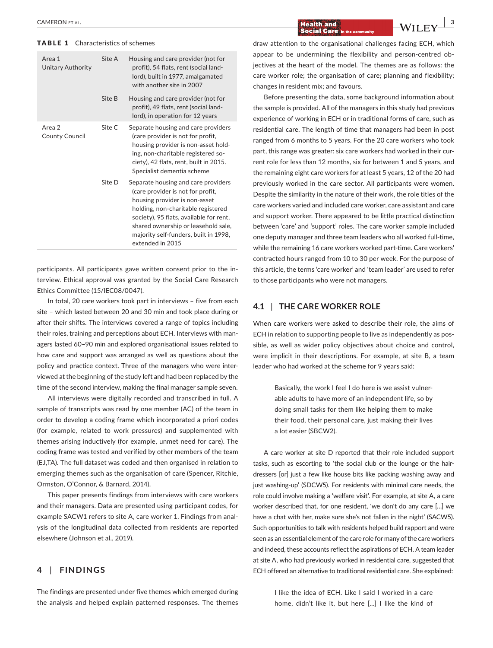#### TABLE 1 Characteristics of schemes

| Area 1<br><b>Unitary Authority</b> | Site A | Housing and care provider (not for<br>profit), 54 flats, rent (social land-<br>lord), built in 1977, amalgamated<br>with another site in 2007                                                                                                                                                  |
|------------------------------------|--------|------------------------------------------------------------------------------------------------------------------------------------------------------------------------------------------------------------------------------------------------------------------------------------------------|
|                                    | Site B | Housing and care provider (not for<br>profit), 49 flats, rent (social land-<br>lord), in operation for 12 years                                                                                                                                                                                |
| Area 2<br>County Council           | Site C | Separate housing and care providers<br>(care provider is not for profit,<br>housing provider is non-asset hold-<br>ing, non-charitable registered so-<br>ciety), 42 flats, rent, built in 2015.<br>Specialist dementia scheme                                                                  |
|                                    | Site D | Separate housing and care providers<br>(care provider is not for profit,<br>housing provider is non-asset<br>holding, non-charitable registered<br>society), 95 flats, available for rent,<br>shared ownership or leasehold sale,<br>majority self-funders, built in 1998,<br>extended in 2015 |

participants. All participants gave written consent prior to the interview. Ethical approval was granted by the Social Care Research Ethics Committee (15/IEC08/0047).

In total, 20 care workers took part in interviews – five from each site – which lasted between 20 and 30 min and took place during or after their shifts. The interviews covered a range of topics including their roles, training and perceptions about ECH. Interviews with man‐ agers lasted 60–90 min and explored organisational issues related to how care and support was arranged as well as questions about the policy and practice context. Three of the managers who were inter‐ viewed at the beginning of the study left and had been replaced by the time of the second interview, making the final manager sample seven.

All interviews were digitally recorded and transcribed in full. A sample of transcripts was read by one member (AC) of the team in order to develop a coding frame which incorporated a priori codes (for example, related to work pressures) and supplemented with themes arising inductively (for example, unmet need for care). The coding frame was tested and verified by other members of the team (EJ,TA). The full dataset was coded and then organised in relation to emerging themes such as the organisation of care (Spencer, Ritchie, Ormston, O'Connor, & Barnard, 2014).

This paper presents findings from interviews with care workers and their managers. Data are presented using participant codes, for example SACW1 refers to site A, care worker 1. Findings from anal‐ ysis of the longitudinal data collected from residents are reported elsewhere (Johnson et al., 2019).

#### **4** | **FINDINGS**

The findings are presented under five themes which emerged during the analysis and helped explain patterned responses. The themes draw attention to the organisational challenges facing ECH, which appear to be undermining the flexibility and person-centred objectives at the heart of the model. The themes are as follows: the care worker role; the organisation of care; planning and flexibility; changes in resident mix; and favours.

Before presenting the data, some background information about the sample is provided. All of the managers in this study had previous experience of working in ECH or in traditional forms of care, such as residential care. The length of time that managers had been in post ranged from 6 months to 5 years. For the 20 care workers who took part, this range was greater: six care workers had worked in their current role for less than 12 months, six for between 1 and 5 years, and the remaining eight care workers for at least 5 years, 12 of the 20 had previously worked in the care sector. All participants were women. Despite the similarity in the nature of their work, the role titles of the care workers varied and included care worker, care assistant and care and support worker. There appeared to be little practical distinction between 'care' and 'support' roles. The care worker sample included one deputy manager and three team leaders who all worked full‐time, while the remaining 16 care workers worked part-time. Care workers' contracted hours ranged from 10 to 30 per week. For the purpose of this article, the terms 'care worker' and 'team leader' are used to refer to those participants who were not managers.

#### **4.1** | **THE CARE WORKER ROLE**

When care workers were asked to describe their role, the aims of ECH in relation to supporting people to live as independently as pos‐ sible, as well as wider policy objectives about choice and control, were implicit in their descriptions. For example, at site B, a team leader who had worked at the scheme for 9 years said:

> Basically, the work I feel I do here is we assist vulner‐ able adults to have more of an independent life, so by doing small tasks for them like helping them to make their food, their personal care, just making their lives a lot easier (SBCW2).

A care worker at site D reported that their role included support tasks, such as escorting to 'the social club or the lounge or the hair‐ dressers [or] just a few like house bits like packing washing away and just washing-up' (SDCW5). For residents with minimal care needs, the role could involve making a 'welfare visit'. For example, at site A, a care worker described that, for one resident, 'we don't do any care […] we have a chat with her, make sure she's not fallen in the night' (SACW5). Such opportunities to talk with residents helped build rapport and were seen as an essential element of the care role for many of the care workers and indeed, these accounts reflect the aspirations of ECH. A team leader at site A, who had previously worked in residential care, suggested that ECH offered an alternative to traditional residential care. She explained:

> I like the idea of ECH. Like I said I worked in a care home, didn't like it, but here […] I like the kind of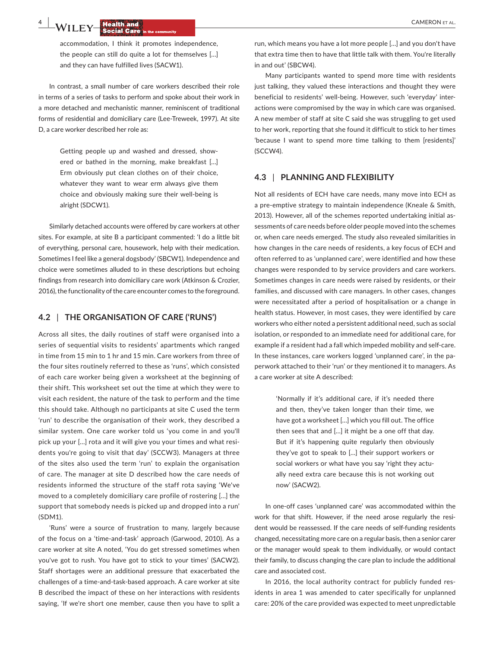**4 WILEY Realth and <b>Social Care** in the community **and CAMERON ET AL.** CAMERON ET AL.

accommodation, I think it promotes independence, the people can still do quite a lot for themselves […] and they can have fulfilled lives (SACW1).

In contrast, a small number of care workers described their role in terms of a series of tasks to perform and spoke about their work in a more detached and mechanistic manner, reminiscent of traditional forms of residential and domiciliary care (Lee‐Treweek, 1997). At site D, a care worker described her role as:

> Getting people up and washed and dressed, show‐ ered or bathed in the morning, make breakfast […] Erm obviously put clean clothes on of their choice, whatever they want to wear erm always give them choice and obviously making sure their well‐being is alright (SDCW1).

Similarly detached accounts were offered by care workers at other sites. For example, at site B a participant commented: 'I do a little bit of everything, personal care, housework, help with their medication. Sometimes I feel like a general dogsbody' (SBCW1). Independence and choice were sometimes alluded to in these descriptions but echoing findings from research into domiciliary care work (Atkinson & Crozier, 2016), the functionality of the care encounter comes to the foreground.

#### **4.2** | **THE ORGANISATION OF CARE ('RUNS')**

Across all sites, the daily routines of staff were organised into a series of sequential visits to residents' apartments which ranged in time from 15 min to 1 hr and 15 min. Care workers from three of the four sites routinely referred to these as 'runs', which consisted of each care worker being given a worksheet at the beginning of their shift. This worksheet set out the time at which they were to visit each resident, the nature of the task to perform and the time this should take. Although no participants at site C used the term 'run' to describe the organisation of their work, they described a similar system. One care worker told us 'you come in and you'll pick up your […] rota and it will give you your times and what resi‐ dents you're going to visit that day' (SCCW3). Managers at three of the sites also used the term 'run' to explain the organisation of care. The manager at site D described how the care needs of residents informed the structure of the staff rota saying 'We've moved to a completely domiciliary care profile of rostering […] the support that somebody needs is picked up and dropped into a run' (SDM1).

'Runs' were a source of frustration to many, largely because of the focus on a 'time‐and‐task' approach (Garwood, 2010). As a care worker at site A noted, 'You do get stressed sometimes when you've got to rush. You have got to stick to your times' (SACW2). Staff shortages were an additional pressure that exacerbated the challenges of a time‐and‐task‐based approach. A care worker at site B described the impact of these on her interactions with residents saying, 'If we're short one member, cause then you have to split a

run, which means you have a lot more people […] and you don't have that extra time then to have that little talk with them. You're literally in and out' (SBCW4).

Many participants wanted to spend more time with residents just talking, they valued these interactions and thought they were beneficial to residents' well‐being. However, such 'everyday' inter‐ actions were compromised by the way in which care was organised. A new member of staff at site C said she was struggling to get used to her work, reporting that she found it difficult to stick to her times 'because I want to spend more time talking to them [residents]' (SCCW4).

#### **4.3** | **PLANNING AND FLEXIBILITY**

Not all residents of ECH have care needs, many move into ECH as a pre-emptive strategy to maintain independence (Kneale & Smith, 2013). However, all of the schemes reported undertaking initial as‐ sessments of care needs before older people moved into the schemes or, when care needs emerged. The study also revealed similarities in how changes in the care needs of residents, a key focus of ECH and often referred to as 'unplanned care', were identified and how these changes were responded to by service providers and care workers. Sometimes changes in care needs were raised by residents, or their families, and discussed with care managers. In other cases, changes were necessitated after a period of hospitalisation or a change in health status. However, in most cases, they were identified by care workers who either noted a persistent additional need, such as social isolation, or responded to an immediate need for additional care, for example if a resident had a fall which impeded mobility and self‐care. In these instances, care workers logged 'unplanned care', in the pa‐ perwork attached to their 'run' or they mentioned it to managers. As a care worker at site A described:

> 'Normally if it's additional care, if it's needed there and then, they've taken longer than their time, we have got a worksheet […] which you fill out. The office then sees that and […] it might be a one off that day. But if it's happening quite regularly then obviously they've got to speak to […] their support workers or social workers or what have you say 'right they actually need extra care because this is not working out now' (SACW2).

In one‐off cases 'unplanned care' was accommodated within the work for that shift. However, if the need arose regularly the resident would be reassessed. If the care needs of self-funding residents changed, necessitating more care on a regular basis, then a senior carer or the manager would speak to them individually, or would contact their family, to discuss changing the care plan to include the additional care and associated cost.

In 2016, the local authority contract for publicly funded residents in area 1 was amended to cater specifically for unplanned care: 20% of the care provided was expected to meet unpredictable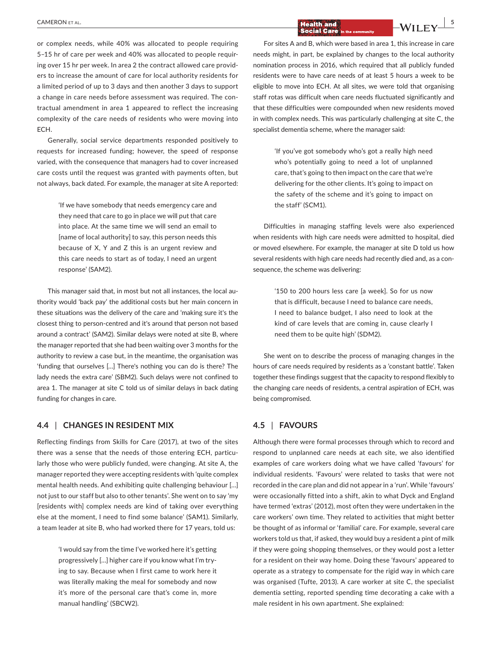or complex needs, while 40% was allocated to people requiring 5–15 hr of care per week and 40% was allocated to people requir‐ ing over 15 hr per week. In area 2 the contract allowed care provid‐ ers to increase the amount of care for local authority residents for a limited period of up to 3 days and then another 3 days to support a change in care needs before assessment was required. The contractual amendment in area 1 appeared to reflect the increasing complexity of the care needs of residents who were moving into ECH.

Generally, social service departments responded positively to requests for increased funding; however, the speed of response varied, with the consequence that managers had to cover increased care costs until the request was granted with payments often, but not always, back dated. For example, the manager at site A reported:

> 'If we have somebody that needs emergency care and they need that care to go in place we will put that care into place. At the same time we will send an email to [name of local authority] to say, this person needs this because of X, Y and Z this is an urgent review and this care needs to start as of today, I need an urgent response' (SAM2).

This manager said that, in most but not all instances, the local au‐ thority would 'back pay' the additional costs but her main concern in these situations was the delivery of the care and 'making sure it's the closest thing to person‐centred and it's around that person not based around a contract' (SAM2). Similar delays were noted at site B, where the manager reported that she had been waiting over 3 months for the authority to review a case but, in the meantime, the organisation was 'funding that ourselves […] There's nothing you can do is there? The lady needs the extra care' (SBM2). Such delays were not confined to area 1. The manager at site C told us of similar delays in back dating funding for changes in care.

#### **4.4** | **CHANGES IN RESIDENT MIX**

Reflecting findings from Skills for Care (2017), at two of the sites there was a sense that the needs of those entering ECH, particu‐ larly those who were publicly funded, were changing. At site A, the manager reported they were accepting residents with 'quite complex mental health needs. And exhibiting quite challenging behaviour […] not just to our staff but also to other tenants'. She went on to say 'my [residents with] complex needs are kind of taking over everything else at the moment, I need to find some balance' (SAM1). Similarly, a team leader at site B, who had worked there for 17 years, told us:

> 'I would say from the time I've worked here it's getting progressively […] higher care if you know what I'm try‐ ing to say. Because when I first came to work here it was literally making the meal for somebody and now it's more of the personal care that's come in, more manual handling' (SBCW2).

# **|** CAMERON et al. **5**

For sites A and B, which were based in area 1, this increase in care needs might, in part, be explained by changes to the local authority nomination process in 2016, which required that all publicly funded residents were to have care needs of at least 5 hours a week to be eligible to move into ECH. At all sites, we were told that organising staff rotas was difficult when care needs fluctuated significantly and that these difficulties were compounded when new residents moved in with complex needs. This was particularly challenging at site C, the specialist dementia scheme, where the manager said:

> 'If you've got somebody who's got a really high need who's potentially going to need a lot of unplanned care, that's going to then impact on the care that we're delivering for the other clients. It's going to impact on the safety of the scheme and it's going to impact on the staff' (SCM1).

Difficulties in managing staffing levels were also experienced when residents with high care needs were admitted to hospital, died or moved elsewhere. For example, the manager at site D told us how several residents with high care needs had recently died and, as a consequence, the scheme was delivering:

> '150 to 200 hours less care [a week]. So for us now that is difficult, because I need to balance care needs, I need to balance budget, I also need to look at the kind of care levels that are coming in, cause clearly I need them to be quite high' (SDM2).

She went on to describe the process of managing changes in the hours of care needs required by residents as a 'constant battle'. Taken together these findings suggest that the capacity to respond flexibly to the changing care needs of residents, a central aspiration of ECH, was being compromised.

#### **4.5** | **FAVOURS**

Although there were formal processes through which to record and respond to unplanned care needs at each site, we also identified examples of care workers doing what we have called 'favours' for individual residents. 'Favours' were related to tasks that were not recorded in the care plan and did not appear in a 'run'. While 'favours' were occasionally fitted into a shift, akin to what Dyck and England have termed 'extras' (2012), most often they were undertaken in the care workers' own time. They related to activities that might better be thought of as informal or 'familial' care. For example, several care workers told us that, if asked, they would buy a resident a pint of milk if they were going shopping themselves, or they would post a letter for a resident on their way home. Doing these 'favours' appeared to operate as a strategy to compensate for the rigid way in which care was organised (Tufte, 2013). A care worker at site C, the specialist dementia setting, reported spending time decorating a cake with a male resident in his own apartment. She explained: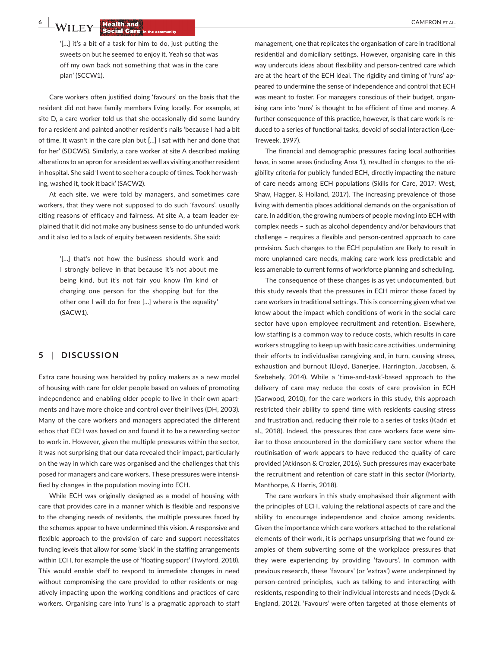**6 WILEY Realth and <b>CAMERON ET AL.**<br> **EXECUTEY Social Care** in the community

'[…] it's a bit of a task for him to do, just putting the sweets on but he seemed to enjoy it. Yeah so that was off my own back not something that was in the care plan' (SCCW1).

Care workers often justified doing 'favours' on the basis that the resident did not have family members living locally. For example, at site D, a care worker told us that she occasionally did some laundry for a resident and painted another resident's nails 'because I had a bit of time. It wasn't in the care plan but […] I sat with her and done that for her' (SDCW5). Similarly, a care worker at site A described making alterations to an apron for a resident as well as visiting another resident in hospital. She said 'I went to see her a couple of times. Took her wash‐ ing, washed it, took it back' (SACW2).

At each site, we were told by managers, and sometimes care workers, that they were not supposed to do such 'favours', usually citing reasons of efficacy and fairness. At site A, a team leader explained that it did not make any business sense to do unfunded work and it also led to a lack of equity between residents. She said:

> '[…] that's not how the business should work and I strongly believe in that because it's not about me being kind, but it's not fair you know I'm kind of charging one person for the shopping but for the other one I will do for free […] where is the equality' (SACW1).

#### **5** | **DISCUSSION**

Extra care housing was heralded by policy makers as a new model of housing with care for older people based on values of promoting independence and enabling older people to live in their own apartments and have more choice and control over their lives (DH, 2003). Many of the care workers and managers appreciated the different ethos that ECH was based on and found it to be a rewarding sector to work in. However, given the multiple pressures within the sector, it was not surprising that our data revealed their impact, particularly on the way in which care was organised and the challenges that this posed for managers and care workers. These pressures were intensi‐ fied by changes in the population moving into ECH.

While ECH was originally designed as a model of housing with care that provides care in a manner which is flexible and responsive to the changing needs of residents, the multiple pressures faced by the schemes appear to have undermined this vision. A responsive and flexible approach to the provision of care and support necessitates funding levels that allow for some 'slack' in the staffing arrangements within ECH, for example the use of 'floating support' (Twyford, 2018). This would enable staff to respond to immediate changes in need without compromising the care provided to other residents or negatively impacting upon the working conditions and practices of care workers. Organising care into 'runs' is a pragmatic approach to staff

management, one that replicates the organisation of care in traditional residential and domiciliary settings. However, organising care in this way undercuts ideas about flexibility and person-centred care which are at the heart of the ECH ideal. The rigidity and timing of 'runs' ap‐ peared to undermine the sense of independence and control that ECH was meant to foster. For managers conscious of their budget, organ‐ ising care into 'runs' is thought to be efficient of time and money. A further consequence of this practice, however, is that care work is reduced to a series of functional tasks, devoid of social interaction (Lee‐ Treweek, 1997).

The financial and demographic pressures facing local authorities have, in some areas (including Area 1), resulted in changes to the eligibility criteria for publicly funded ECH, directly impacting the nature of care needs among ECH populations (Skills for Care, 2017; West, Shaw, Hagger, & Holland, 2017). The increasing prevalence of those living with dementia places additional demands on the organisation of care. In addition, the growing numbers of people moving into ECH with complex needs – such as alcohol dependency and/or behaviours that challenge – requires a flexible and person‐centred approach to care provision. Such changes to the ECH population are likely to result in more unplanned care needs, making care work less predictable and less amenable to current forms of workforce planning and scheduling.

The consequence of these changes is as yet undocumented, but this study reveals that the pressures in ECH mirror those faced by care workers in traditional settings. This is concerning given what we know about the impact which conditions of work in the social care sector have upon employee recruitment and retention. Elsewhere, low staffing is a common way to reduce costs, which results in care workers struggling to keep up with basic care activities, undermining their efforts to individualise caregiving and, in turn, causing stress, exhaustion and burnout (Lloyd, Banerjee, Harrington, Jacobsen, & Szebehely, 2014). While a 'time‐and‐task'‐based approach to the delivery of care may reduce the costs of care provision in ECH (Garwood, 2010), for the care workers in this study, this approach restricted their ability to spend time with residents causing stress and frustration and, reducing their role to a series of tasks (Kadri et al., 2018). Indeed, the pressures that care workers face were sim‐ ilar to those encountered in the domiciliary care sector where the routinisation of work appears to have reduced the quality of care provided (Atkinson & Crozier, 2016). Such pressures may exacerbate the recruitment and retention of care staff in this sector (Moriarty, Manthorpe, & Harris, 2018).

The care workers in this study emphasised their alignment with the principles of ECH, valuing the relational aspects of care and the ability to encourage independence and choice among residents. Given the importance which care workers attached to the relational elements of their work, it is perhaps unsurprising that we found ex‐ amples of them subverting some of the workplace pressures that they were experiencing by providing 'favours'. In common with previous research, these 'favours' (or 'extras') were underpinned by person‐centred principles, such as talking to and interacting with residents, responding to their individual interests and needs (Dyck & England, 2012). 'Favours' were often targeted at those elements of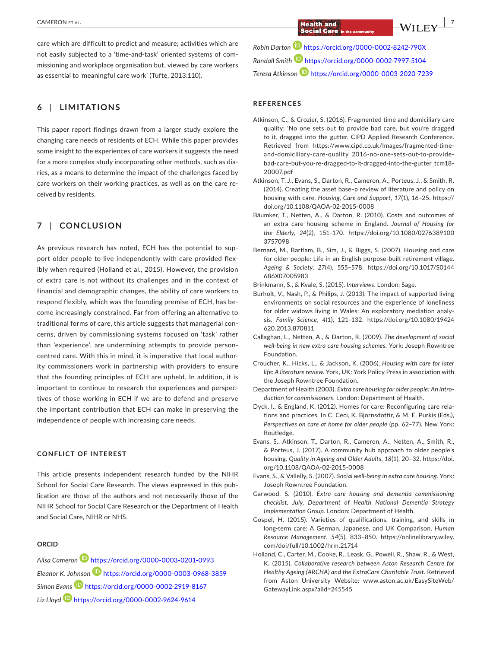care which are difficult to predict and measure; activities which are not easily subjected to a 'time‐and‐task' oriented systems of com‐ missioning and workplace organisation but, viewed by care workers as essential to 'meaningful care work' (Tufte, 2013:110).

#### **6** | **LIMITATIONS**

This paper report findings drawn from a larger study explore the changing care needs of residents of ECH. While this paper provides some insight to the experiences of care workers it suggests the need for a more complex study incorporating other methods, such as dia‐ ries, as a means to determine the impact of the challenges faced by care workers on their working practices, as well as on the care re‐ ceived by residents.

#### **7** | **CONCLUSION**

As previous research has noted, ECH has the potential to support older people to live independently with care provided flexibly when required (Holland et al., 2015). However, the provision of extra care is not without its challenges and in the context of financial and demographic changes, the ability of care workers to respond flexibly, which was the founding premise of ECH, has be‐ come increasingly constrained. Far from offering an alternative to traditional forms of care, this article suggests that managerial con‐ cerns, driven by commissioning systems focused on 'task' rather than 'experience', are undermining attempts to provide person‐ centred care. With this in mind, it is imperative that local author‐ ity commissioners work in partnership with providers to ensure that the founding principles of ECH are upheld. In addition, it is important to continue to research the experiences and perspec‐ tives of those working in ECH if we are to defend and preserve the important contribution that ECH can make in preserving the independence of people with increasing care needs.

#### **CONFLICT OF INTEREST**

This article presents independent research funded by the NIHR School for Social Care Research. The views expressed in this pub‐ lication are those of the authors and not necessarily those of the NIHR School for Social Care Research or the Department of Health and Social Care, NIHR or NHS.

#### **ORCID**

*Ailsa Camero[n](https://orcid.org/0000-0003-0201-0993)* <https://orcid.org/0000-0003-0201-0993> *Eleanor K. Johnso[n](https://orcid.org/0000-0003-0968-3859)* <https://orcid.org/0000-0003-0968-3859> *Simon Evan[s](https://orcid.org/0000-0002-2919-8167)* <https://orcid.org/0000-0002-2919-8167> *Liz Lloyd* <https://orcid.org/0000-0002-9624-9614>

 **|** CAMERON et al. **7**

*Robin Darton* <https://orcid.org/0000-0002-8242-790X> *Randall Smith* <https://orcid.org/0000-0002-7997-5104> *Teresa Atkinson* <https://orcid.org/0000-0003-2020-7239>

#### **REFERENCES**

- Atkinson, C., & Crozier, S. (2016). Fragmented time and domiciliary care quality: 'No one sets out to provide bad care, but you're dragged to it, dragged into the gutter. CIPD Applied Research Conference. Retrieved from [https://www.cipd.co.uk/Images/fragmented-time](https://www.cipd.co.uk/Images/fragmented-time-and-domiciliary-care-quality_2016-no-one-sets-out-to-provide-bad-care-but-you-re-dragged-to-it-dragged-into-the-gutter_tcm18-20007.pdf)[and-domiciliary-care-quality\\_2016-no-one-sets-out-to-provide](https://www.cipd.co.uk/Images/fragmented-time-and-domiciliary-care-quality_2016-no-one-sets-out-to-provide-bad-care-but-you-re-dragged-to-it-dragged-into-the-gutter_tcm18-20007.pdf)[bad-care-but-you-re-dragged-to-it-dragged-into-the-gutter\\_tcm18-](https://www.cipd.co.uk/Images/fragmented-time-and-domiciliary-care-quality_2016-no-one-sets-out-to-provide-bad-care-but-you-re-dragged-to-it-dragged-into-the-gutter_tcm18-20007.pdf)[20007.pdf](https://www.cipd.co.uk/Images/fragmented-time-and-domiciliary-care-quality_2016-no-one-sets-out-to-provide-bad-care-but-you-re-dragged-to-it-dragged-into-the-gutter_tcm18-20007.pdf)
- Atkinson, T. J., Evans, S., Darton, R., Cameron, A., Porteus, J., & Smith, R. (2014). Creating the asset base–a review of literature and policy on housing with care. *Housing, Care and Support*, *17*(1), 16–25. [https://](https://doi.org/10.1108/QAOA-02-2015-0008) [doi.org/10.1108/QAOA-02-2015-0008](https://doi.org/10.1108/QAOA-02-2015-0008)
- Bäumker, T., Netten, A., & Darton, R. (2010). Costs and outcomes of an extra care housing scheme in England. *Journal of Housing for the Elderly*, *24*(2), 151–170. [https://doi.org/10.1080/0276389100](https://doi.org/10.1080/02763891003757098) [3757098](https://doi.org/10.1080/02763891003757098)
- Bernard, M., Bartlam, B., Sim, J., & Biggs, S. (2007). Housing and care for older people: Life in an English purpose‐built retirement village. *Ageing & Society*, *27*(4), 555–578. [https://doi.org/10.1017/S0144](https://doi.org/10.1017/S0144686X07005983) [686X07005983](https://doi.org/10.1017/S0144686X07005983)
- Brinkmann, S., & Kvale, S. (2015). *Interviews*. London: Sage.
- Burholt, V., Nash, P., & Philips, J. (2013). The impact of supported living environments on social resources and the experience of loneliness for older widows living in Wales: An exploratory mediation analy‐ sis. *Family Science*, *4*(1), 121–132. [https://doi.org/10.1080/19424](https://doi.org/10.1080/19424620.2013.870811) [620.2013.870811](https://doi.org/10.1080/19424620.2013.870811)
- Callaghan, L., Netten, A., & Darton, R. (2009). *The development of social well‐being in new extra care housing schemes*. York: Joseph Rowntree Foundation.
- Croucher, K., Hicks, L., & Jackson, K. (2006). *Housing with care for later life: A literature review*. York, UK: York Policy Press in association with the Joseph Rowntree Foundation.
- Department of Health (2003). *Extra care housing for older people: An intro‐ duction for commissioners*. London: Department of Health.
- Dyck, I., & England, K. (2012). Homes for care: Reconfiguring care rela‐ tions and practices. In C. Ceci, K. Bjornsdottir, & M. E. Purkis (Eds.), *Perspectives on care at home for older people* (pp. 62–77). New York: Routledge.
- Evans, S., Atkinson, T., Darton, R., Cameron, A., Netten, A., Smith, R., & Porteus, J. (2017). A community hub approach to older people's housing. *Quality in Ageing and Older Adults*, *18*(1), 20–32. [https://doi.](https://doi.org/10.1108/QAOA-02-2015-0008) [org/10.1108/QAOA-02-2015-0008](https://doi.org/10.1108/QAOA-02-2015-0008)
- Evans, S., & Vallelly, S. (2007). *Social well‐being in extra care housing*. York: Joseph Rowntree Foundation.
- Garwood, S. (2010). *Extra care housing and dementia commissioning checklist, July, Department of Health National Dementia Strategy Implementation Group*. London: Department of Health.
- Gospel, H. (2015). Varieties of qualifications, training, and skills in long‐term care: A German, Japanese, and UK Comparison. *Human Resource Management*, *54*(5), 833–850. [https://onlinelibrary.wiley.](https://onlinelibrary.wiley.com/doi/full/10.1002/hrm.21714) [com/doi/full/10.1002/hrm.21714](https://onlinelibrary.wiley.com/doi/full/10.1002/hrm.21714)
- Holland, C., Carter, M., Cooke, R., Leask, G., Powell, R., Shaw, R., & West, K. (2015). *Collaborative research between Aston Research Centre for Healthy Ageing (ARCHA) and the ExtraCare Charitable Trust*. Retrieved from Aston University Website: [www.aston.ac.uk/EasySiteWeb/](http://www.aston.ac.uk/EasySiteWeb/GatewayLink.aspx?alId=245545) [GatewayLink.aspx?alId=245545](http://www.aston.ac.uk/EasySiteWeb/GatewayLink.aspx?alId=245545)